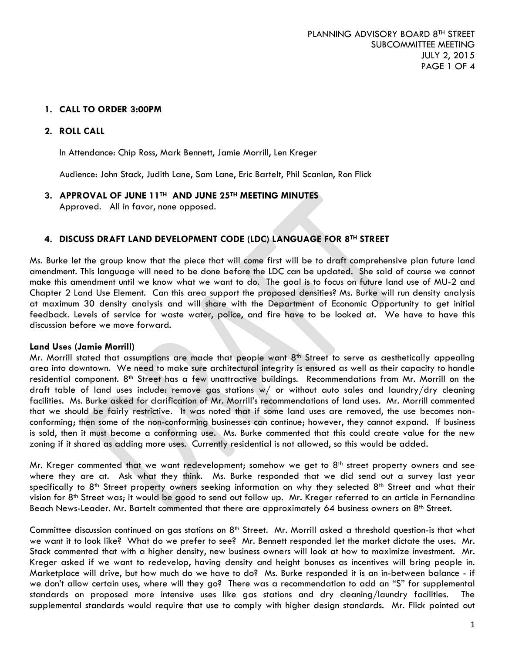### **1. CALL TO ORDER 3:00PM**

### **2. ROLL CALL**

In Attendance: Chip Ross, Mark Bennett, Jamie Morrill, Len Kreger

Audience: John Stack, Judith Lane, Sam Lane, Eric Bartelt, Phil Scanlan, Ron Flick

**3. APPROVAL OF JUNE 11TH AND JUNE 25TH MEETING MINUTES** Approved. All in favor, none opposed.

#### **4. DISCUSS DRAFT LAND DEVELOPMENT CODE (LDC) LANGUAGE FOR 8TH STREET**

Ms. Burke let the group know that the piece that will come first will be to draft comprehensive plan future land amendment. This language will need to be done before the LDC can be updated. She said of course we cannot make this amendment until we know what we want to do. The goal is to focus on future land use of MU-2 and Chapter 2 Land Use Element. Can this area support the proposed densities? Ms. Burke will run density analysis at maximum 30 density analysis and will share with the Department of Economic Opportunity to get initial feedback. Levels of service for waste water, police, and fire have to be looked at. We have to have this discussion before we move forward.

#### **Land Uses (Jamie Morrill)**

Mr. Morrill stated that assumptions are made that people want 8<sup>th</sup> Street to serve as aesthetically appealing area into downtown. We need to make sure architectural integrity is ensured as well as their capacity to handle residential component. 8<sup>th</sup> Street has a few unattractive buildings. Recommendations from Mr. Morrill on the draft table of land uses include: remove gas stations w/ or without auto sales and laundry/dry cleaning facilities. Ms. Burke asked for clarification of Mr. Morrill's recommendations of land uses. Mr. Morrill commented that we should be fairly restrictive. It was noted that if some land uses are removed, the use becomes nonconforming; then some of the non-conforming businesses can continue; however, they cannot expand. If business is sold, then it must become a conforming use. Ms. Burke commented that this could create value for the new zoning if it shared as adding more uses. Currently residential is not allowed, so this would be added.

Mr. Kreger commented that we want redevelopment; somehow we get to  $8<sup>th</sup>$  street property owners and see where they are at. Ask what they think. Ms. Burke responded that we did send out a survey last year specifically to  $8<sup>th</sup>$  Street property owners seeking information on why they selected  $8<sup>th</sup>$  Street and what their vision for 8<sup>th</sup> Street was; it would be good to send out follow up. Mr. Kreger referred to an article in Fernandina Beach News-Leader. Mr. Bartelt commented that there are approximately 64 business owners on 8<sup>th</sup> Street.

Committee discussion continued on gas stations on 8<sup>th</sup> Street. Mr. Morrill asked a threshold question-is that what we want it to look like? What do we prefer to see? Mr. Bennett responded let the market dictate the uses. Mr. Stack commented that with a higher density, new business owners will look at how to maximize investment. Mr. Kreger asked if we want to redevelop, having density and height bonuses as incentives will bring people in. Marketplace will drive, but how much do we have to do? Ms. Burke responded it is an in-between balance - if we don't allow certain uses, where will they go? There was a recommendation to add an "S" for supplemental standards on proposed more intensive uses like gas stations and dry cleaning/laundry facilities. The supplemental standards would require that use to comply with higher design standards. Mr. Flick pointed out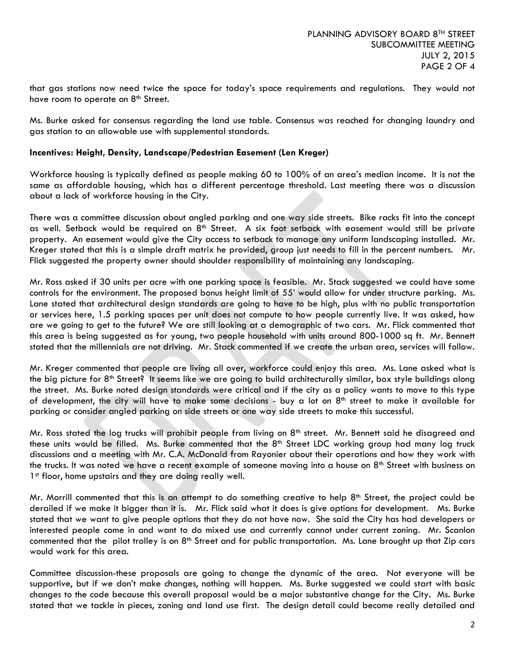that gas stations now need twice the space for today's space requirements and regulations. They would not have room to operate on 8<sup>th</sup> Street.

Ms. Burke asked for consensus regarding the land use table. Consensus was reached for changing laundry and gas station to an allowable use with supplemental standards.

### **Incentives: Height, Density, Landscape/Pedestrian Easement (Len Kreger)**

Workforce housing is typically defined as people making 60 to 100% of an area's median income. It is not the same as affordable housing, which has a different percentage threshold. Last meeting there was a discussion about a lack of workforce housing in the City.

There was a committee discussion about angled parking and one way side streets. Bike racks fit into the concept as well. Setback would be required on 8<sup>th</sup> Street. A six foot setback with easement would still be private property. An easement would give the City access to setback to manage any uniform landscaping installed. Mr. Kreger stated that this is a simple draft matrix he provided, group just needs to fill in the percent numbers. Mr. Flick suggested the property owner should shoulder responsibility of maintaining any landscaping.

Mr. Ross asked if 30 units per acre with one parking space is feasible. Mr. Stack suggested we could have some controls for the environment. The proposed bonus height limit of 55' would allow for under structure parking. Ms. Lane stated that architectural design standards are going to have to be high, plus with no public transportation or services here, 1.5 parking spaces per unit does not compute to how people currently live. It was asked, how are we going to get to the future? We are still looking at a demographic of two cars. Mr. Flick commented that this area is being suggested as for young, two people household with units around 800-1000 sq ft. Mr. Bennett stated that the millennials are not driving. Mr. Stack commented if we create the urban area, services will follow.

Mr. Kreger commented that people are living all over, workforce could enjoy this area. Ms. Lane asked what is the big picture for 8th Street? It seems like we are going to build architecturally similar, box style buildings along the street. Ms. Burke noted design standards were critical and if the city as a policy wants to move to this type of development, the city will have to make some decisions - buy a lot on  $8<sup>th</sup>$  street to make it available for parking or consider angled parking on side streets or one way side streets to make this successful.

Mr. Ross stated the log trucks will prohibit people from living on  $8<sup>th</sup>$  street. Mr. Bennett said he disagreed and these units would be filled. Ms. Burke commented that the 8<sup>th</sup> Street LDC working group had many log truck discussions and a meeting with Mr. C.A. McDonald from Rayonier about their operations and how they work with the trucks. It was noted we have a recent example of someone moving into a house on  $8<sup>th</sup>$  Street with business on 1<sup>st</sup> floor, home upstairs and they are doing really well.

Mr. Morrill commented that this is an attempt to do something creative to help 8<sup>th</sup> Street, the project could be derailed if we make it bigger than it is. Mr. Flick said what it does is give options for development. Ms. Burke stated that we want to give people options that they do not have now. She said the City has had developers or interested people come in and want to do mixed use and currently cannot under current zoning. Mr. Scanlon commented that the pilot trolley is on  $8<sup>th</sup>$  Street and for public transportation. Ms. Lane brought up that Zip cars would work for this area.

Committee discussion-these proposals are going to change the dynamic of the area. Not everyone will be supportive, but if we don't make changes, nothing will happen. Ms. Burke suggested we could start with basic changes to the code because this overall proposal would be a major substantive change for the City. Ms. Burke stated that we tackle in pieces, zoning and land use first. The design detail could become really detailed and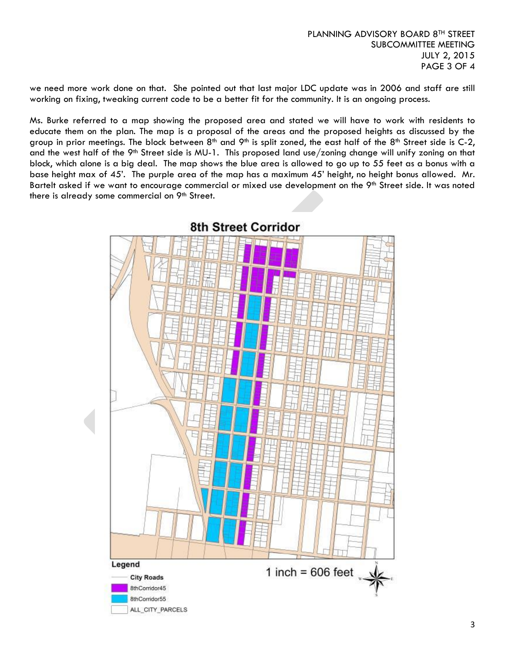3

we need more work done on that. She pointed out that last major LDC update was in 2006 and staff are still working on fixing, tweaking current code to be a better fit for the community. It is an ongoing process.

Ms. Burke referred to a map showing the proposed area and stated we will have to work with residents to educate them on the plan. The map is a proposal of the areas and the proposed heights as discussed by the group in prior meetings. The block between  $8<sup>th</sup>$  and  $9<sup>th</sup>$  is split zoned, the east half of the  $8<sup>th</sup>$  Street side is C-2, and the west half of the 9<sup>th</sup> Street side is MU-1. This proposed land use/zoning change will unify zoning on that block, which alone is a big deal. The map shows the blue area is allowed to go up to 55 feet as a bonus with a base height max of 45'. The purple area of the map has a maximum 45' height, no height bonus allowed. Mr. Bartelt asked if we want to encourage commercial or mixed use development on the 9<sup>th</sup> Street side. It was noted there is already some commercial on 9th Street.